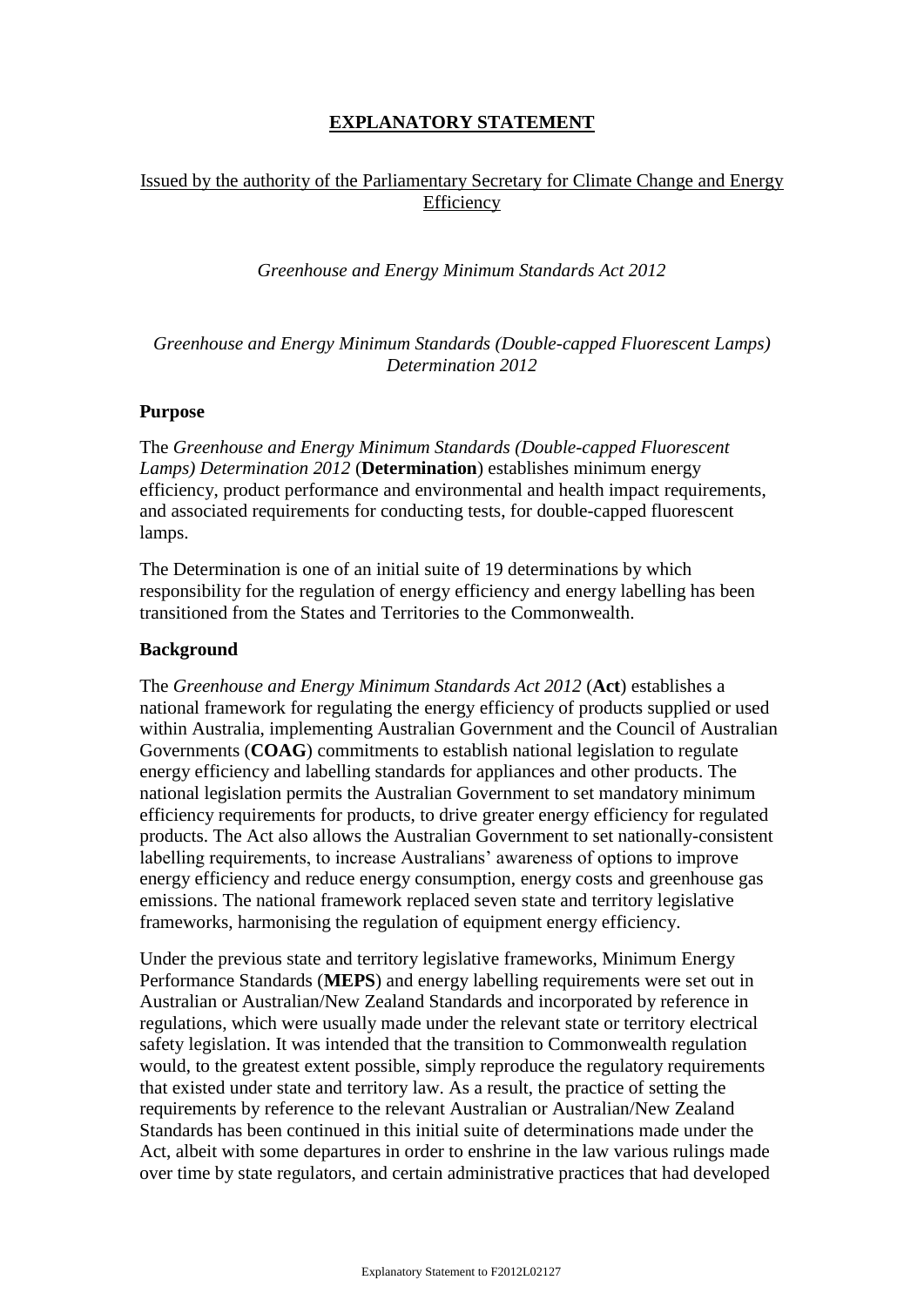# **EXPLANATORY STATEMENT**

# Issued by the authority of the Parliamentary Secretary for Climate Change and Energy Efficiency

*Greenhouse and Energy Minimum Standards Act 2012*

*Greenhouse and Energy Minimum Standards (Double-capped Fluorescent Lamps) Determination 2012*

### **Purpose**

The *Greenhouse and Energy Minimum Standards (Double-capped Fluorescent Lamps) Determination 2012* (**Determination**) establishes minimum energy efficiency, product performance and environmental and health impact requirements, and associated requirements for conducting tests, for double-capped fluorescent lamps.

The Determination is one of an initial suite of 19 determinations by which responsibility for the regulation of energy efficiency and energy labelling has been transitioned from the States and Territories to the Commonwealth.

### **Background**

The *Greenhouse and Energy Minimum Standards Act 2012* (**Act**) establishes a national framework for regulating the energy efficiency of products supplied or used within Australia, implementing Australian Government and the Council of Australian Governments (**COAG**) commitments to establish national legislation to regulate energy efficiency and labelling standards for appliances and other products. The national legislation permits the Australian Government to set mandatory minimum efficiency requirements for products, to drive greater energy efficiency for regulated products. The Act also allows the Australian Government to set nationally-consistent labelling requirements, to increase Australians' awareness of options to improve energy efficiency and reduce energy consumption, energy costs and greenhouse gas emissions. The national framework replaced seven state and territory legislative frameworks, harmonising the regulation of equipment energy efficiency.

Under the previous state and territory legislative frameworks, Minimum Energy Performance Standards (**MEPS**) and energy labelling requirements were set out in Australian or Australian/New Zealand Standards and incorporated by reference in regulations, which were usually made under the relevant state or territory electrical safety legislation. It was intended that the transition to Commonwealth regulation would, to the greatest extent possible, simply reproduce the regulatory requirements that existed under state and territory law. As a result, the practice of setting the requirements by reference to the relevant Australian or Australian/New Zealand Standards has been continued in this initial suite of determinations made under the Act, albeit with some departures in order to enshrine in the law various rulings made over time by state regulators, and certain administrative practices that had developed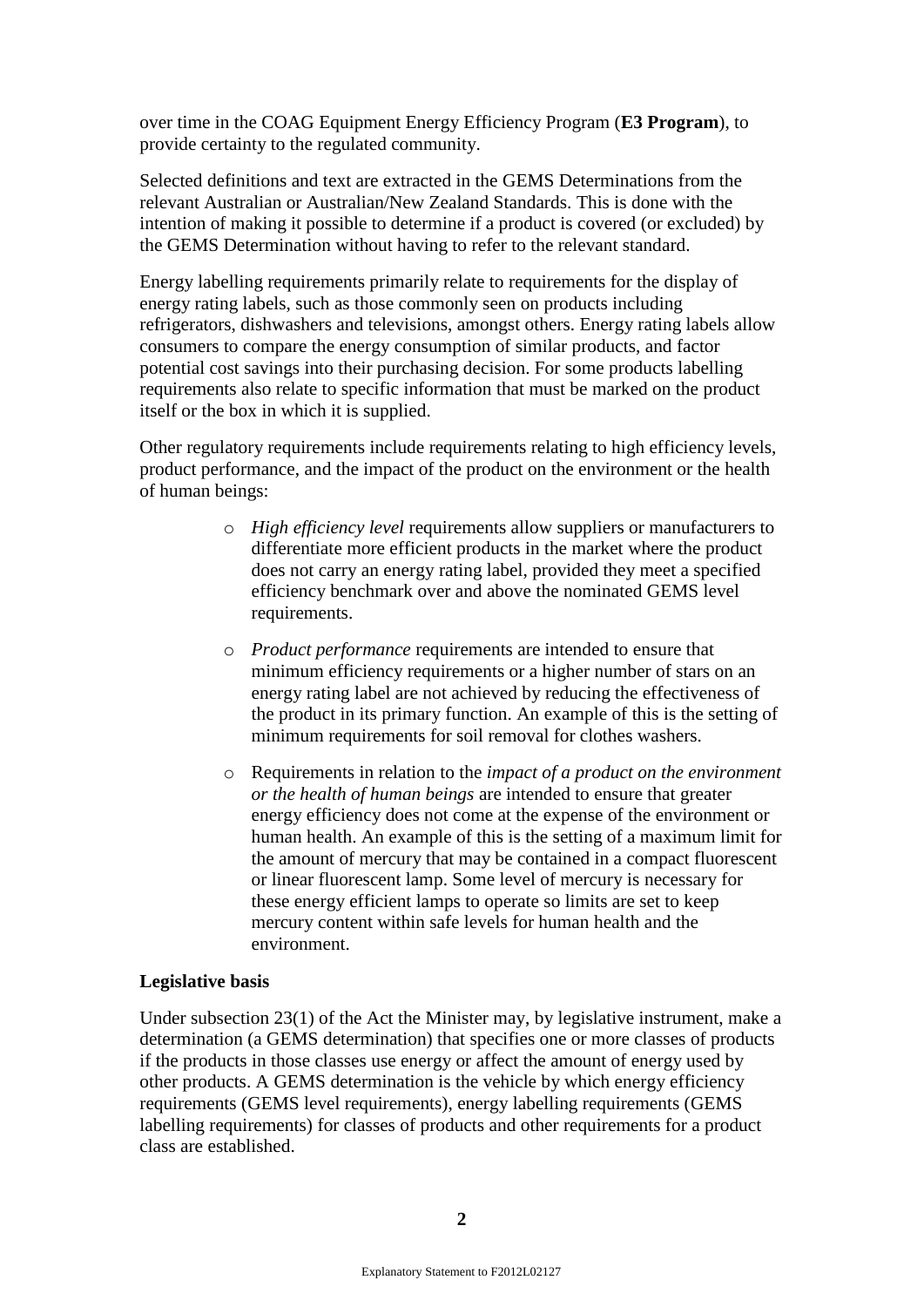over time in the COAG Equipment Energy Efficiency Program (**E3 Program**), to provide certainty to the regulated community.

Selected definitions and text are extracted in the GEMS Determinations from the relevant Australian or Australian/New Zealand Standards. This is done with the intention of making it possible to determine if a product is covered (or excluded) by the GEMS Determination without having to refer to the relevant standard.

Energy labelling requirements primarily relate to requirements for the display of energy rating labels, such as those commonly seen on products including refrigerators, dishwashers and televisions, amongst others. Energy rating labels allow consumers to compare the energy consumption of similar products, and factor potential cost savings into their purchasing decision. For some products labelling requirements also relate to specific information that must be marked on the product itself or the box in which it is supplied.

Other regulatory requirements include requirements relating to high efficiency levels, product performance, and the impact of the product on the environment or the health of human beings:

- o *High efficiency level* requirements allow suppliers or manufacturers to differentiate more efficient products in the market where the product does not carry an energy rating label, provided they meet a specified efficiency benchmark over and above the nominated GEMS level requirements.
- o *Product performance* requirements are intended to ensure that minimum efficiency requirements or a higher number of stars on an energy rating label are not achieved by reducing the effectiveness of the product in its primary function. An example of this is the setting of minimum requirements for soil removal for clothes washers.
- o Requirements in relation to the *impact of a product on the environment or the health of human beings* are intended to ensure that greater energy efficiency does not come at the expense of the environment or human health. An example of this is the setting of a maximum limit for the amount of mercury that may be contained in a compact fluorescent or linear fluorescent lamp. Some level of mercury is necessary for these energy efficient lamps to operate so limits are set to keep mercury content within safe levels for human health and the environment.

### **Legislative basis**

Under subsection 23(1) of the Act the Minister may, by legislative instrument, make a determination (a GEMS determination) that specifies one or more classes of products if the products in those classes use energy or affect the amount of energy used by other products. A GEMS determination is the vehicle by which energy efficiency requirements (GEMS level requirements), energy labelling requirements (GEMS labelling requirements) for classes of products and other requirements for a product class are established.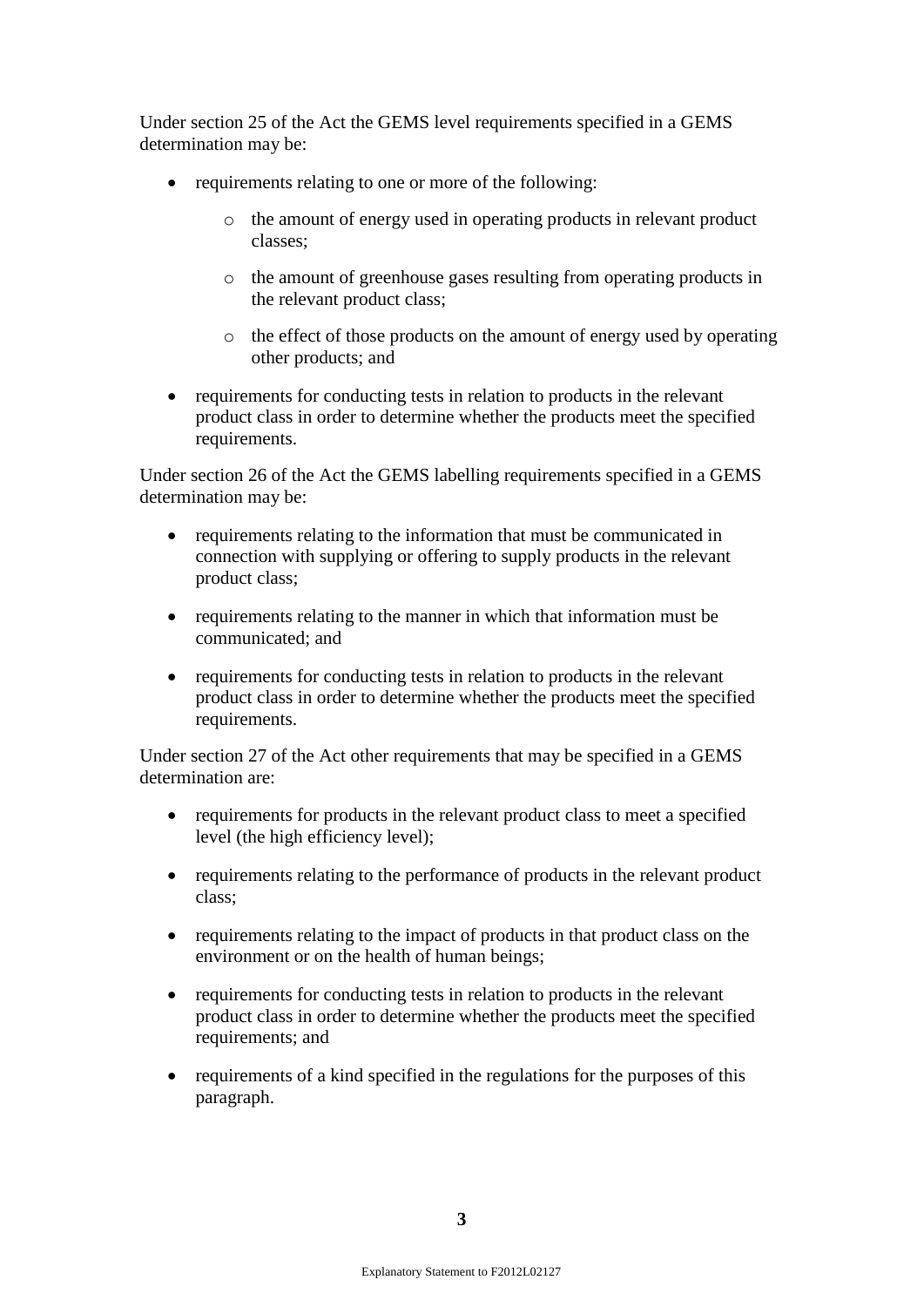Under section 25 of the Act the GEMS level requirements specified in a GEMS determination may be:

- requirements relating to one or more of the following:
	- o the amount of energy used in operating products in relevant product classes;
	- o the amount of greenhouse gases resulting from operating products in the relevant product class;
	- o the effect of those products on the amount of energy used by operating other products; and
- requirements for conducting tests in relation to products in the relevant product class in order to determine whether the products meet the specified requirements.

Under section 26 of the Act the GEMS labelling requirements specified in a GEMS determination may be:

- requirements relating to the information that must be communicated in connection with supplying or offering to supply products in the relevant product class;
- requirements relating to the manner in which that information must be communicated; and
- requirements for conducting tests in relation to products in the relevant product class in order to determine whether the products meet the specified requirements.

Under section 27 of the Act other requirements that may be specified in a GEMS determination are:

- requirements for products in the relevant product class to meet a specified level (the high efficiency level);
- requirements relating to the performance of products in the relevant product class;
- requirements relating to the impact of products in that product class on the environment or on the health of human beings;
- requirements for conducting tests in relation to products in the relevant product class in order to determine whether the products meet the specified requirements; and
- requirements of a kind specified in the regulations for the purposes of this paragraph.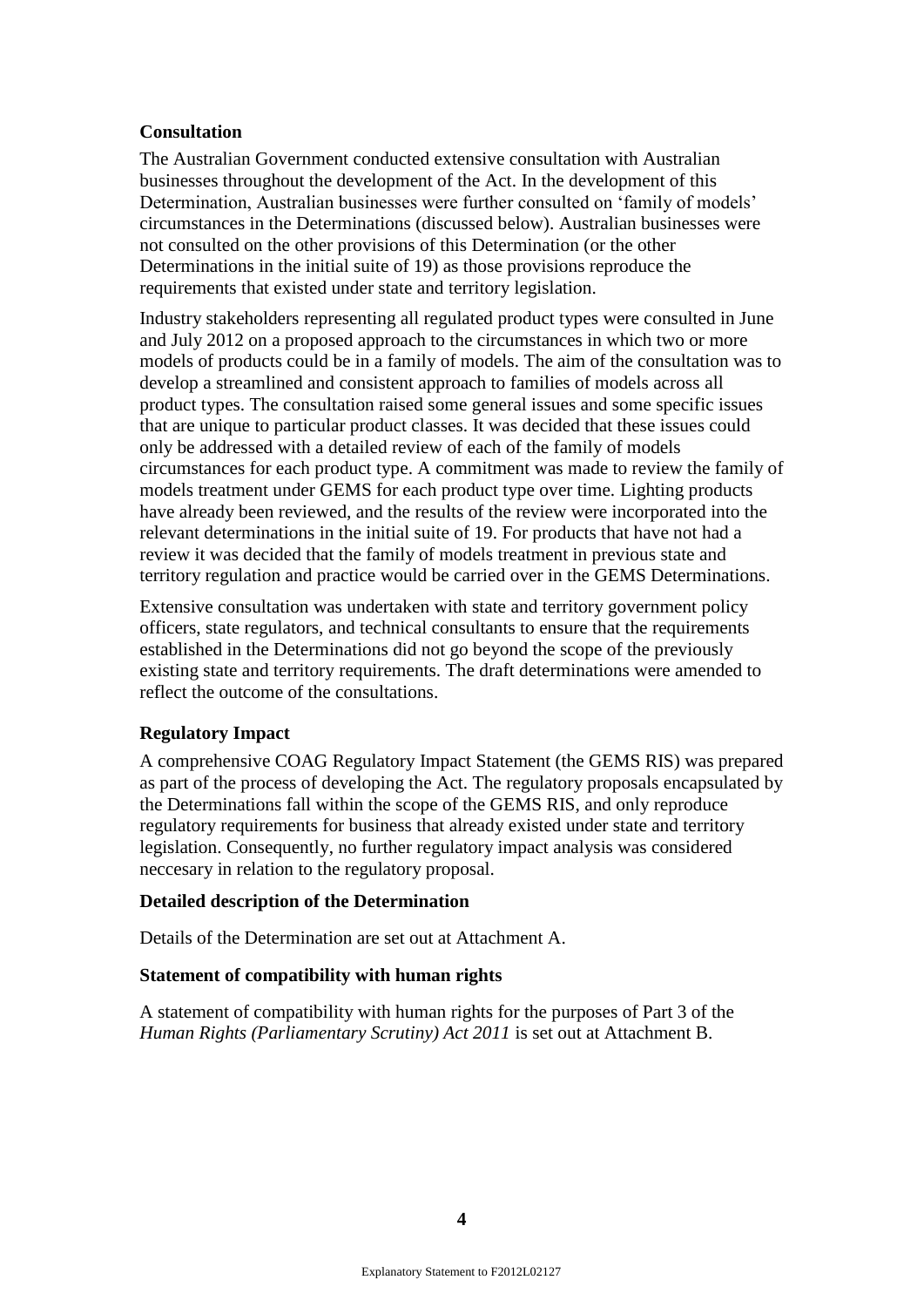### **Consultation**

The Australian Government conducted extensive consultation with Australian businesses throughout the development of the Act. In the development of this Determination, Australian businesses were further consulted on "family of models" circumstances in the Determinations (discussed below). Australian businesses were not consulted on the other provisions of this Determination (or the other Determinations in the initial suite of 19) as those provisions reproduce the requirements that existed under state and territory legislation.

Industry stakeholders representing all regulated product types were consulted in June and July 2012 on a proposed approach to the circumstances in which two or more models of products could be in a family of models. The aim of the consultation was to develop a streamlined and consistent approach to families of models across all product types. The consultation raised some general issues and some specific issues that are unique to particular product classes. It was decided that these issues could only be addressed with a detailed review of each of the family of models circumstances for each product type. A commitment was made to review the family of models treatment under GEMS for each product type over time. Lighting products have already been reviewed, and the results of the review were incorporated into the relevant determinations in the initial suite of 19. For products that have not had a review it was decided that the family of models treatment in previous state and territory regulation and practice would be carried over in the GEMS Determinations.

Extensive consultation was undertaken with state and territory government policy officers, state regulators, and technical consultants to ensure that the requirements established in the Determinations did not go beyond the scope of the previously existing state and territory requirements. The draft determinations were amended to reflect the outcome of the consultations.

### **Regulatory Impact**

A comprehensive COAG Regulatory Impact Statement (the GEMS RIS) was prepared as part of the process of developing the Act. The regulatory proposals encapsulated by the Determinations fall within the scope of the GEMS RIS, and only reproduce regulatory requirements for business that already existed under state and territory legislation. Consequently, no further regulatory impact analysis was considered neccesary in relation to the regulatory proposal.

### **Detailed description of the Determination**

Details of the Determination are set out at Attachment A.

### **Statement of compatibility with human rights**

A statement of compatibility with human rights for the purposes of Part 3 of the *Human Rights (Parliamentary Scrutiny) Act 2011* is set out at Attachment B.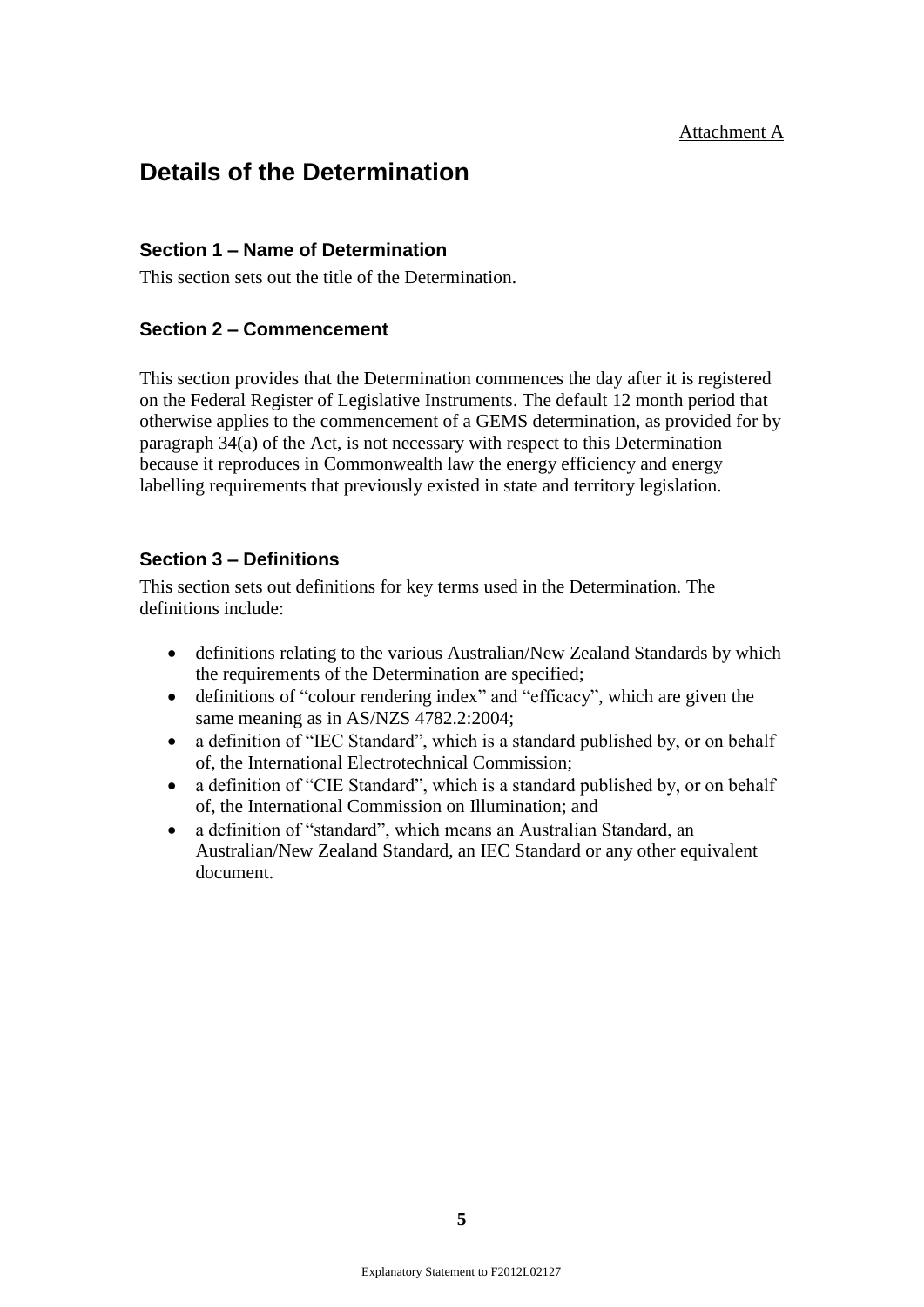# **Details of the Determination**

# **Section 1 – Name of Determination**

This section sets out the title of the Determination.

### **Section 2 – Commencement**

This section provides that the Determination commences the day after it is registered on the Federal Register of Legislative Instruments. The default 12 month period that otherwise applies to the commencement of a GEMS determination, as provided for by paragraph 34(a) of the Act, is not necessary with respect to this Determination because it reproduces in Commonwealth law the energy efficiency and energy labelling requirements that previously existed in state and territory legislation.

### **Section 3 – Definitions**

This section sets out definitions for key terms used in the Determination. The definitions include:

- definitions relating to the various Australian/New Zealand Standards by which the requirements of the Determination are specified;
- definitions of "colour rendering index" and "efficacy", which are given the same meaning as in AS/NZS 4782.2:2004;
- a definition of "IEC Standard", which is a standard published by, or on behalf of, the International Electrotechnical Commission;
- a definition of "CIE Standard", which is a standard published by, or on behalf of, the International Commission on Illumination; and
- a definition of "standard", which means an Australian Standard, an Australian/New Zealand Standard, an IEC Standard or any other equivalent document.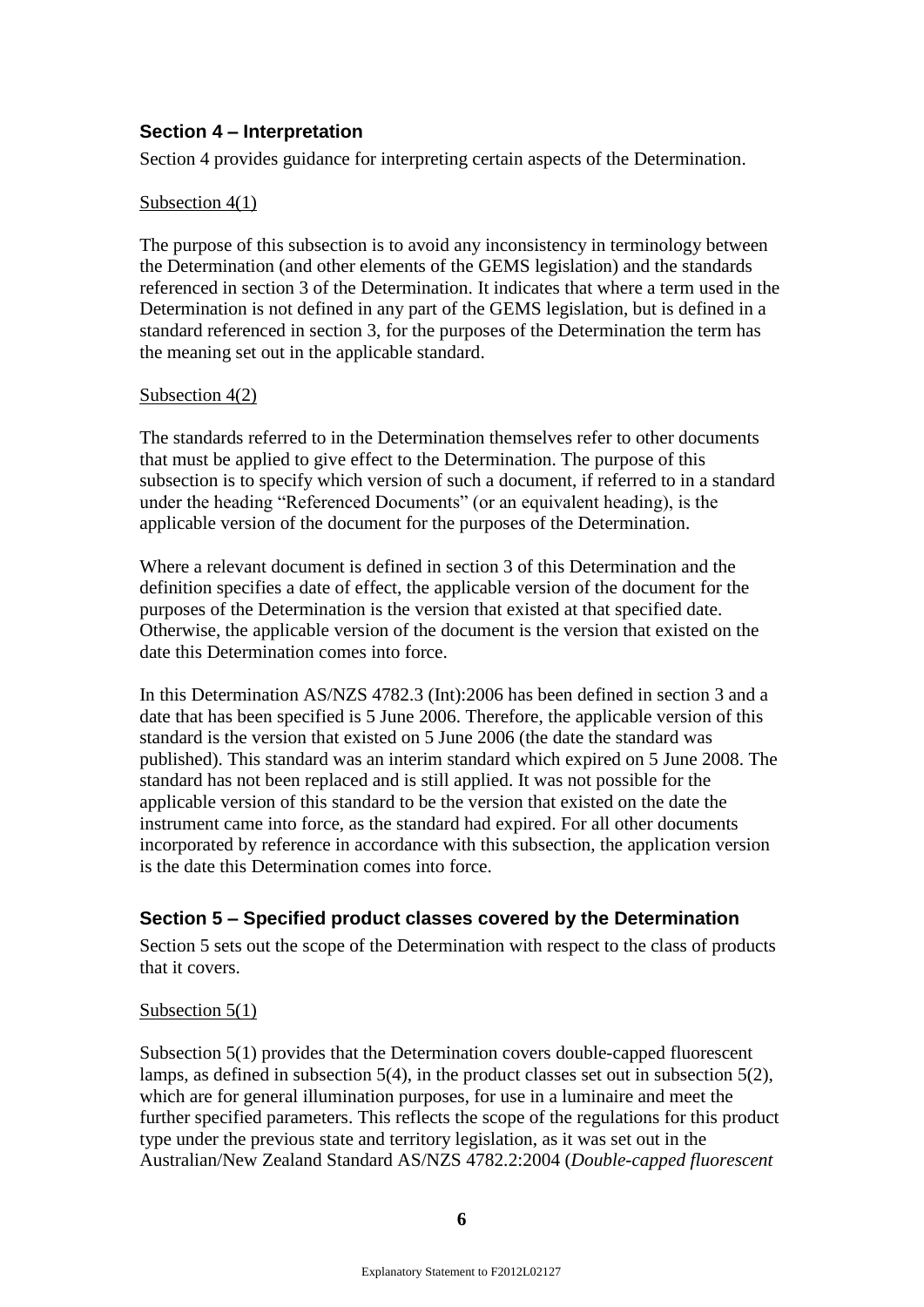# **Section 4 – Interpretation**

Section 4 provides guidance for interpreting certain aspects of the Determination.

### Subsection 4(1)

The purpose of this subsection is to avoid any inconsistency in terminology between the Determination (and other elements of the GEMS legislation) and the standards referenced in section 3 of the Determination. It indicates that where a term used in the Determination is not defined in any part of the GEMS legislation, but is defined in a standard referenced in section 3, for the purposes of the Determination the term has the meaning set out in the applicable standard.

### Subsection 4(2)

The standards referred to in the Determination themselves refer to other documents that must be applied to give effect to the Determination. The purpose of this subsection is to specify which version of such a document, if referred to in a standard under the heading "Referenced Documents" (or an equivalent heading), is the applicable version of the document for the purposes of the Determination.

Where a relevant document is defined in section 3 of this Determination and the definition specifies a date of effect, the applicable version of the document for the purposes of the Determination is the version that existed at that specified date. Otherwise, the applicable version of the document is the version that existed on the date this Determination comes into force.

In this Determination AS/NZS 4782.3 (Int):2006 has been defined in section 3 and a date that has been specified is 5 June 2006. Therefore, the applicable version of this standard is the version that existed on 5 June 2006 (the date the standard was published). This standard was an interim standard which expired on 5 June 2008. The standard has not been replaced and is still applied. It was not possible for the applicable version of this standard to be the version that existed on the date the instrument came into force, as the standard had expired. For all other documents incorporated by reference in accordance with this subsection, the application version is the date this Determination comes into force.

# **Section 5 – Specified product classes covered by the Determination**

Section 5 sets out the scope of the Determination with respect to the class of products that it covers.

# Subsection 5(1)

Subsection 5(1) provides that the Determination covers double-capped fluorescent lamps, as defined in subsection 5(4), in the product classes set out in subsection 5(2), which are for general illumination purposes, for use in a luminaire and meet the further specified parameters. This reflects the scope of the regulations for this product type under the previous state and territory legislation, as it was set out in the Australian/New Zealand Standard AS/NZS 4782.2:2004 (*Double-capped fluorescent*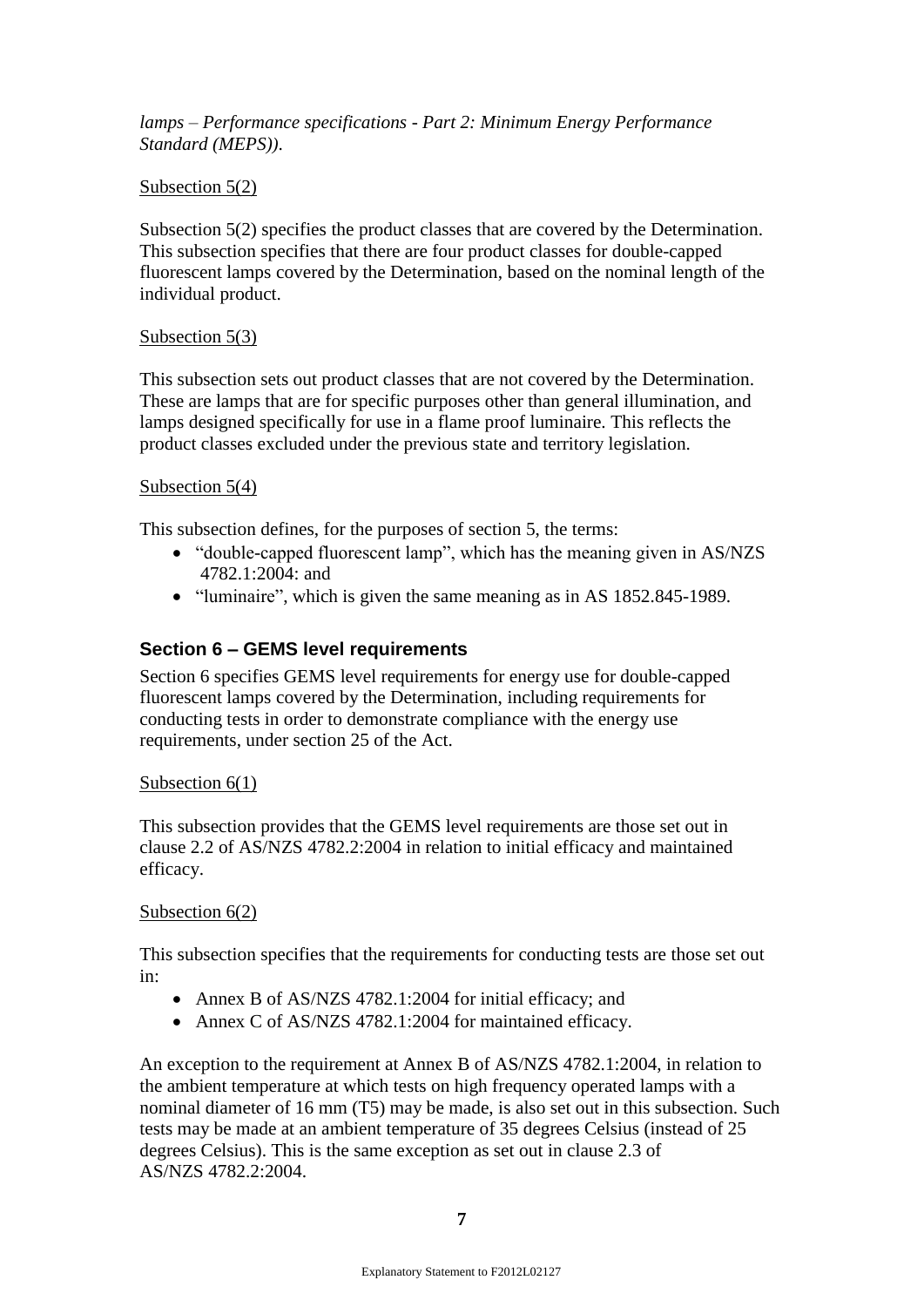*lamps – Performance specifications - Part 2: Minimum Energy Performance Standard (MEPS))*.

# Subsection 5(2)

Subsection 5(2) specifies the product classes that are covered by the Determination. This subsection specifies that there are four product classes for double-capped fluorescent lamps covered by the Determination, based on the nominal length of the individual product.

# Subsection 5(3)

This subsection sets out product classes that are not covered by the Determination. These are lamps that are for specific purposes other than general illumination, and lamps designed specifically for use in a flame proof luminaire. This reflects the product classes excluded under the previous state and territory legislation.

# Subsection 5(4)

This subsection defines, for the purposes of section 5, the terms:

- "double-capped fluorescent lamp", which has the meaning given in AS/NZS 4782.1:2004: and
- "luminaire", which is given the same meaning as in AS 1852.845-1989.

# **Section 6 – GEMS level requirements**

Section 6 specifies GEMS level requirements for energy use for double-capped fluorescent lamps covered by the Determination, including requirements for conducting tests in order to demonstrate compliance with the energy use requirements, under section 25 of the Act.

# Subsection  $6(1)$

This subsection provides that the GEMS level requirements are those set out in clause 2.2 of AS/NZS 4782.2:2004 in relation to initial efficacy and maintained efficacy.

# Subsection  $6(2)$

This subsection specifies that the requirements for conducting tests are those set out in:

- Annex B of AS/NZS 4782.1:2004 for initial efficacy; and
- Annex C of AS/NZS 4782.1:2004 for maintained efficacy.

An exception to the requirement at Annex B of AS/NZS 4782.1:2004, in relation to the ambient temperature at which tests on high frequency operated lamps with a nominal diameter of 16 mm (T5) may be made, is also set out in this subsection. Such tests may be made at an ambient temperature of 35 degrees Celsius (instead of 25 degrees Celsius). This is the same exception as set out in clause 2.3 of AS/NZS 4782.2:2004.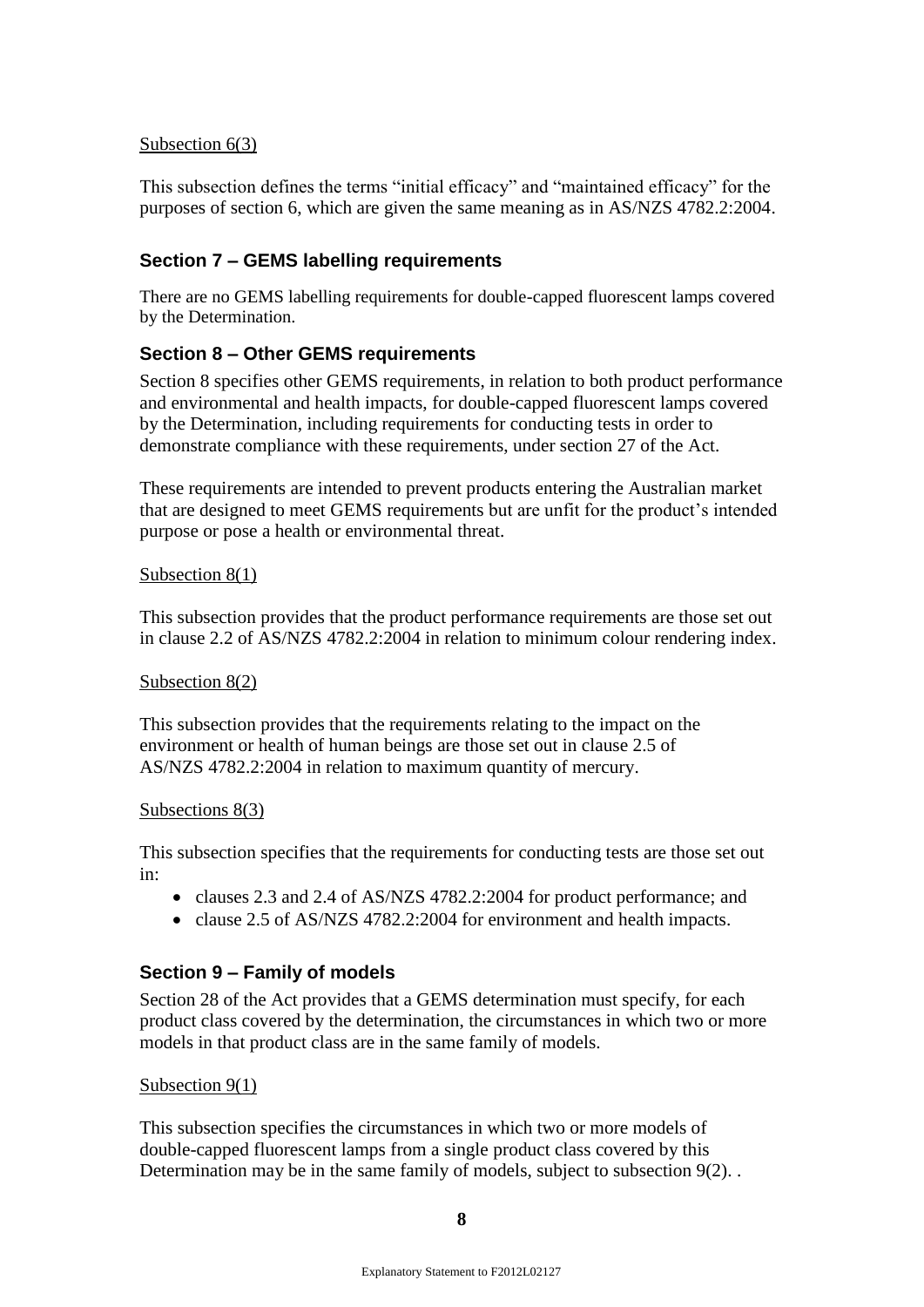# Subsection 6(3)

This subsection defines the terms "initial efficacy" and "maintained efficacy" for the purposes of section 6, which are given the same meaning as in AS/NZS 4782.2:2004.

# **Section 7 – GEMS labelling requirements**

There are no GEMS labelling requirements for double-capped fluorescent lamps covered by the Determination.

# **Section 8 – Other GEMS requirements**

Section 8 specifies other GEMS requirements, in relation to both product performance and environmental and health impacts, for double-capped fluorescent lamps covered by the Determination, including requirements for conducting tests in order to demonstrate compliance with these requirements, under section 27 of the Act.

These requirements are intended to prevent products entering the Australian market that are designed to meet GEMS requirements but are unfit for the product's intended purpose or pose a health or environmental threat.

### Subsection 8(1)

This subsection provides that the product performance requirements are those set out in clause 2.2 of AS/NZS 4782.2:2004 in relation to minimum colour rendering index.

### Subsection 8(2)

This subsection provides that the requirements relating to the impact on the environment or health of human beings are those set out in clause 2.5 of AS/NZS 4782.2:2004 in relation to maximum quantity of mercury.

### Subsections 8(3)

This subsection specifies that the requirements for conducting tests are those set out in:

- clauses 2.3 and 2.4 of AS/NZS 4782.2:2004 for product performance; and
- clause 2.5 of AS/NZS 4782.2:2004 for environment and health impacts.

# **Section 9 – Family of models**

Section 28 of the Act provides that a GEMS determination must specify, for each product class covered by the determination, the circumstances in which two or more models in that product class are in the same family of models.

### Subsection 9(1)

This subsection specifies the circumstances in which two or more models of double-capped fluorescent lamps from a single product class covered by this Determination may be in the same family of models, subject to subsection 9(2).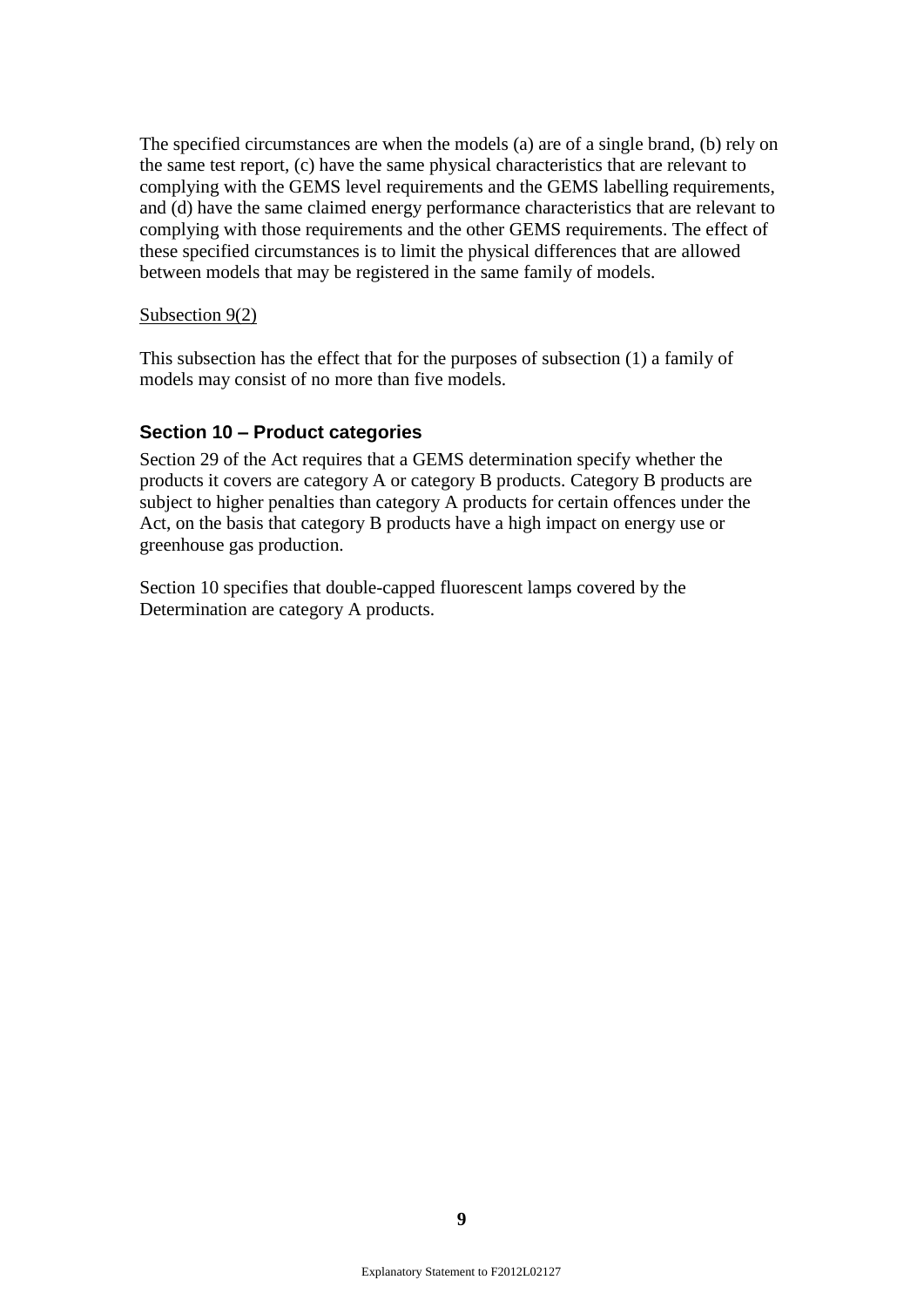The specified circumstances are when the models (a) are of a single brand, (b) rely on the same test report, (c) have the same physical characteristics that are relevant to complying with the GEMS level requirements and the GEMS labelling requirements, and (d) have the same claimed energy performance characteristics that are relevant to complying with those requirements and the other GEMS requirements. The effect of these specified circumstances is to limit the physical differences that are allowed between models that may be registered in the same family of models.

### Subsection 9(2)

This subsection has the effect that for the purposes of subsection (1) a family of models may consist of no more than five models.

# **Section 10 – Product categories**

Section 29 of the Act requires that a GEMS determination specify whether the products it covers are category A or category B products. Category B products are subject to higher penalties than category A products for certain offences under the Act, on the basis that category B products have a high impact on energy use or greenhouse gas production.

Section 10 specifies that double-capped fluorescent lamps covered by the Determination are category A products.